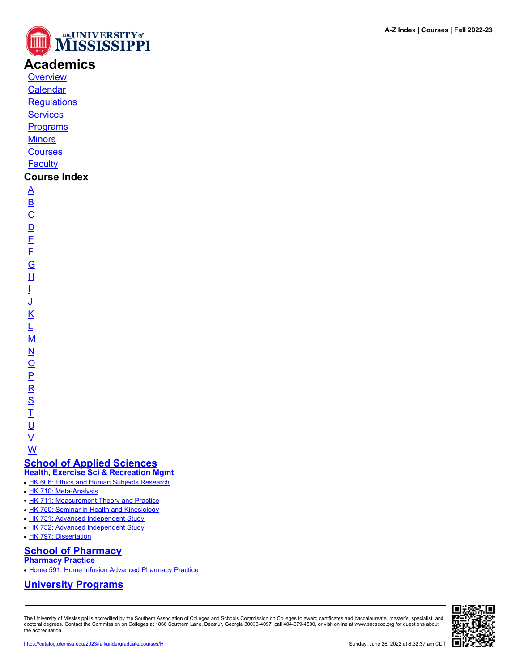

# **Academics**

**[Overview](https://catalog.olemiss.edu/academics)** [Calendar](https://catalog.olemiss.edu/academics/calendar)

**[Regulations](https://catalog.olemiss.edu/academics/regulations)** 

**[Services](https://catalog.olemiss.edu/academics/services)** 

**[Programs](https://catalog.olemiss.edu/programs)** 

**[Minors](https://catalog.olemiss.edu/minors)** 

**[Courses](https://catalog.olemiss.edu/courses)** 

**[Faculty](https://catalog.olemiss.edu/faculty)** 

### **Course Index**

[A](https://catalog.olemiss.edu/courses/A) [B](https://catalog.olemiss.edu/courses/B)  $\overline{C}$  $\overline{C}$  $\overline{C}$  $\overline{D}$  $\overline{D}$  $\overline{D}$ [E](https://catalog.olemiss.edu/courses/E) [F](https://catalog.olemiss.edu/courses/F) [G](https://catalog.olemiss.edu/courses/G) [H](https://catalog.olemiss.edu/courses/H) [I](https://catalog.olemiss.edu/courses/I) [J](https://catalog.olemiss.edu/courses/J) [K](https://catalog.olemiss.edu/courses/K) [L](https://catalog.olemiss.edu/courses/L) [M](https://catalog.olemiss.edu/courses/M) [N](https://catalog.olemiss.edu/courses/N)  $\overline{O}$  $\overline{O}$  $\overline{O}$ [P](https://catalog.olemiss.edu/courses/P)  $\overline{\mathsf{R}}$  $\overline{\mathsf{R}}$  $\overline{\mathsf{R}}$ [S](https://catalog.olemiss.edu/courses/S)  $\overline{1}$ <u>ប</u>

 $\underline{\mathsf{v}}$ [W](https://catalog.olemiss.edu/courses/W)

**[School of Applied Sciences](https://catalog.olemiss.edu/applied-sciences) [Health, Exercise Sci & Recreation Mgmt](https://catalog.olemiss.edu/applied-sciences/health-exercise-sci-recreation-mgmt)**

• [HK 606: Ethics and Human Subjects Research](https://catalog.olemiss.edu/applied-sciences/health-exercise-sci-recreation-mgmt/hk-606)

- [HK 710: Meta-Analysis](https://catalog.olemiss.edu/applied-sciences/health-exercise-sci-recreation-mgmt/hk-710)
- [HK 711: Measurement Theory and Practice](https://catalog.olemiss.edu/applied-sciences/health-exercise-sci-recreation-mgmt/hk-711)
- [HK 750: Seminar in Health and Kinesiology](https://catalog.olemiss.edu/applied-sciences/health-exercise-sci-recreation-mgmt/hk-750)
- [HK 751: Advanced Independent Study](https://catalog.olemiss.edu/applied-sciences/health-exercise-sci-recreation-mgmt/hk-751)
- [HK 752: Advanced Independent Study](https://catalog.olemiss.edu/applied-sciences/health-exercise-sci-recreation-mgmt/hk-752)
- [HK 797: Dissertation](https://catalog.olemiss.edu/applied-sciences/health-exercise-sci-recreation-mgmt/hk-797)

### **[School of Pharmacy](https://catalog.olemiss.edu/pharmacy)**

**[Pharmacy Practice](https://catalog.olemiss.edu/pharmacy/pharmacy-practice)**

• [Home 591: Home Infusion Advanced Pharmacy Practice](https://catalog.olemiss.edu/pharmacy/pharmacy-practice/home-591)

### **[University Programs](https://catalog.olemiss.edu/university-programs)**

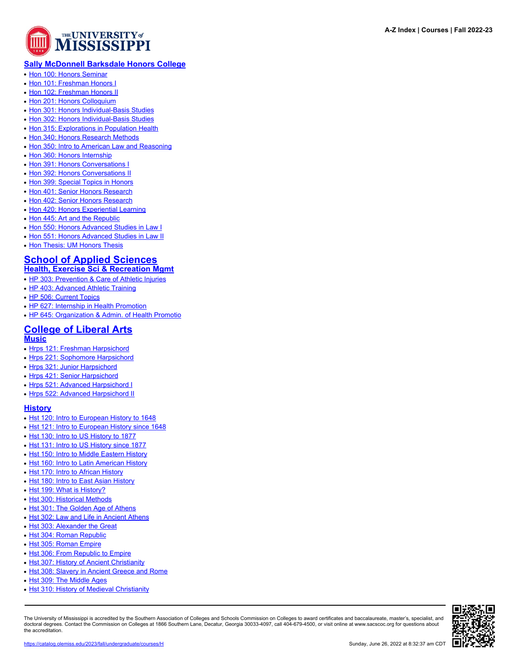

### **[Sally McDonnell Barksdale Honors College](https://catalog.olemiss.edu/university-programs/sally-mcdonnell-barksdale-honors-college)**

- [Hon 100: Honors Seminar](https://catalog.olemiss.edu/university-programs/sally-mcdonnell-barksdale-honors-college/hon-100)
- [Hon 101: Freshman Honors I](https://catalog.olemiss.edu/university-programs/sally-mcdonnell-barksdale-honors-college/hon-101)
- [Hon 102: Freshman Honors II](https://catalog.olemiss.edu/university-programs/sally-mcdonnell-barksdale-honors-college/hon-102)
- [Hon 201: Honors Colloquium](https://catalog.olemiss.edu/university-programs/sally-mcdonnell-barksdale-honors-college/hon-201)
- [Hon 301: Honors Individual-Basis Studies](https://catalog.olemiss.edu/university-programs/sally-mcdonnell-barksdale-honors-college/hon-301)
- [Hon 302: Honors Individual-Basis Studies](https://catalog.olemiss.edu/university-programs/sally-mcdonnell-barksdale-honors-college/hon-302)
- [Hon 315: Explorations in Population Health](https://catalog.olemiss.edu/university-programs/sally-mcdonnell-barksdale-honors-college/hon-315)
- [Hon 340: Honors Research Methods](https://catalog.olemiss.edu/university-programs/sally-mcdonnell-barksdale-honors-college/hon-340)
- [Hon 350: Intro to American Law and Reasoning](https://catalog.olemiss.edu/university-programs/sally-mcdonnell-barksdale-honors-college/hon-350)
- [Hon 360: Honors Internship](https://catalog.olemiss.edu/university-programs/sally-mcdonnell-barksdale-honors-college/hon-360)
- [Hon 391: Honors Conversations I](https://catalog.olemiss.edu/university-programs/sally-mcdonnell-barksdale-honors-college/hon-391)
- [Hon 392: Honors Conversations II](https://catalog.olemiss.edu/university-programs/sally-mcdonnell-barksdale-honors-college/hon-392)
- [Hon 399: Special Topics in Honors](https://catalog.olemiss.edu/university-programs/sally-mcdonnell-barksdale-honors-college/hon-399)
- [Hon 401: Senior Honors Research](https://catalog.olemiss.edu/university-programs/sally-mcdonnell-barksdale-honors-college/hon-401)
- [Hon 402: Senior Honors Research](https://catalog.olemiss.edu/university-programs/sally-mcdonnell-barksdale-honors-college/hon-402)
- [Hon 420: Honors Experiential Learning](https://catalog.olemiss.edu/university-programs/sally-mcdonnell-barksdale-honors-college/hon-420)
- [Hon 445: Art and the Republic](https://catalog.olemiss.edu/university-programs/sally-mcdonnell-barksdale-honors-college/hon-445)
- [Hon 550: Honors Advanced Studies in Law I](https://catalog.olemiss.edu/university-programs/sally-mcdonnell-barksdale-honors-college/hon-550)
- [Hon 551: Honors Advanced Studies in Law II](https://catalog.olemiss.edu/university-programs/sally-mcdonnell-barksdale-honors-college/hon-551)
- [Hon Thesis: UM Honors Thesis](https://catalog.olemiss.edu/university-programs/sally-mcdonnell-barksdale-honors-college/hon-thesis)

#### **[School of Applied Sciences](https://catalog.olemiss.edu/applied-sciences) [Health, Exercise Sci & Recreation Mgmt](https://catalog.olemiss.edu/applied-sciences/health-exercise-sci-recreation-mgmt)**

- [HP 303: Prevention & Care of Athletic Injuries](https://catalog.olemiss.edu/applied-sciences/health-exercise-sci-recreation-mgmt/hp-303)
- [HP 403: Advanced Athletic Training](https://catalog.olemiss.edu/applied-sciences/health-exercise-sci-recreation-mgmt/hp-403)
- [HP 506: Current Topics](https://catalog.olemiss.edu/applied-sciences/health-exercise-sci-recreation-mgmt/hp-506)
- [HP 627: Internship in Health Promotion](https://catalog.olemiss.edu/applied-sciences/health-exercise-sci-recreation-mgmt/hp-627)
- [HP 645: Organization & Admin. of Health Promotio](https://catalog.olemiss.edu/applied-sciences/health-exercise-sci-recreation-mgmt/hp-645)

## **[College of Liberal Arts](https://catalog.olemiss.edu/liberal-arts)**

#### **[Music](https://catalog.olemiss.edu/liberal-arts/music)**

- [Hrps 121: Freshman Harpsichord](https://catalog.olemiss.edu/liberal-arts/music/hrps-121)
- [Hrps 221: Sophomore Harpsichord](https://catalog.olemiss.edu/liberal-arts/music/hrps-221)
- [Hrps 321: Junior Harpsichord](https://catalog.olemiss.edu/liberal-arts/music/hrps-321)
- [Hrps 421: Senior Harpsichord](https://catalog.olemiss.edu/liberal-arts/music/hrps-421)
- [Hrps 521: Advanced Harpsichord I](https://catalog.olemiss.edu/liberal-arts/music/hrps-521)
- [Hrps 522: Advanced Harpsichord II](https://catalog.olemiss.edu/liberal-arts/music/hrps-522)

#### **[History](https://catalog.olemiss.edu/liberal-arts/history)**

- [Hst 120: Intro to European History to 1648](https://catalog.olemiss.edu/liberal-arts/history/hst-120)
- [Hst 121: Intro to European History since 1648](https://catalog.olemiss.edu/liberal-arts/history/hst-121)
- [Hst 130: Intro to US History to 1877](https://catalog.olemiss.edu/liberal-arts/history/hst-130)
- [Hst 131: Intro to US History since 1877](https://catalog.olemiss.edu/liberal-arts/history/hst-131)
- [Hst 150: Intro to Middle Eastern History](https://catalog.olemiss.edu/liberal-arts/history/hst-150)
- [Hst 160: Intro to Latin American History](https://catalog.olemiss.edu/liberal-arts/history/hst-160)
- [Hst 170: Intro to African History](https://catalog.olemiss.edu/liberal-arts/history/hst-170)
- [Hst 180: Intro to East Asian History](https://catalog.olemiss.edu/liberal-arts/history/hst-180)
- [Hst 199: What is History?](https://catalog.olemiss.edu/liberal-arts/history/hst-199)
- [Hst 300: Historical Methods](https://catalog.olemiss.edu/liberal-arts/history/hst-300)
- [Hst 301: The Golden Age of Athens](https://catalog.olemiss.edu/liberal-arts/history/hst-301)
- [Hst 302: Law and Life in Ancient Athens](https://catalog.olemiss.edu/liberal-arts/history/hst-302)
- [Hst 303: Alexander the Great](https://catalog.olemiss.edu/liberal-arts/history/hst-303)
- [Hst 304: Roman Republic](https://catalog.olemiss.edu/liberal-arts/history/hst-304)
- [Hst 305: Roman Empire](https://catalog.olemiss.edu/liberal-arts/history/hst-305)
- [Hst 306: From Republic to Empire](https://catalog.olemiss.edu/liberal-arts/history/hst-306)
- [Hst 307: History of Ancient Christianity](https://catalog.olemiss.edu/liberal-arts/history/hst-307)
- [Hst 308: Slavery in Ancient Greece and Rome](https://catalog.olemiss.edu/liberal-arts/history/hst-308)
- [Hst 309: The Middle Ages](https://catalog.olemiss.edu/liberal-arts/history/hst-309)
- [Hst 310: History of Medieval Christianity](https://catalog.olemiss.edu/liberal-arts/history/hst-310)

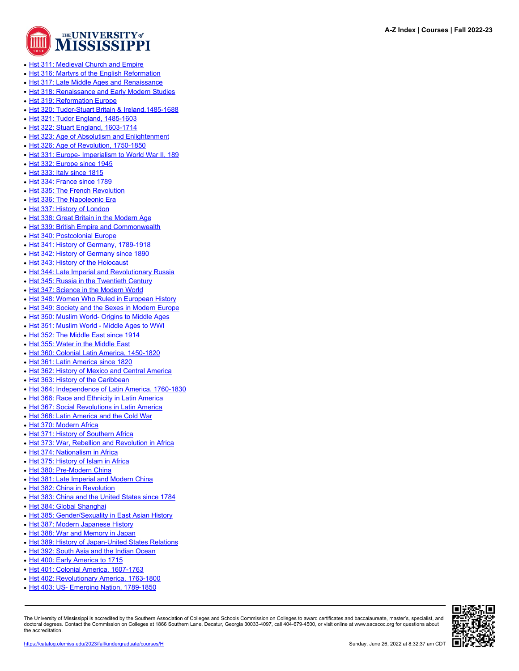

- [Hst 311: Medieval Church and Empire](https://catalog.olemiss.edu/liberal-arts/history/hst-311)
- [Hst 316: Martyrs of the English Reformation](https://catalog.olemiss.edu/liberal-arts/history/hst-316)
- [Hst 317: Late Middle Ages and Renaissance](https://catalog.olemiss.edu/liberal-arts/history/hst-317)
- [Hst 318: Renaissance and Early Modern Studies](https://catalog.olemiss.edu/liberal-arts/history/hst-318)
- [Hst 319: Reformation Europe](https://catalog.olemiss.edu/liberal-arts/history/hst-319)
- [Hst 320: Tudor-Stuart Britain & Ireland,1485-1688](https://catalog.olemiss.edu/liberal-arts/history/hst-320)
- [Hst 321: Tudor England, 1485-1603](https://catalog.olemiss.edu/liberal-arts/history/hst-321)
- [Hst 322: Stuart England, 1603-1714](https://catalog.olemiss.edu/liberal-arts/history/hst-322)
- [Hst 323: Age of Absolutism and Enlightenment](https://catalog.olemiss.edu/liberal-arts/history/hst-323)
- [Hst 326: Age of Revolution, 1750-1850](https://catalog.olemiss.edu/liberal-arts/history/hst-326)
- [Hst 331: Europe- Imperialism to World War II, 189](https://catalog.olemiss.edu/liberal-arts/history/hst-331)
- [Hst 332: Europe since 1945](https://catalog.olemiss.edu/liberal-arts/history/hst-332)
- [Hst 333: Italy since 1815](https://catalog.olemiss.edu/liberal-arts/history/hst-333)
- [Hst 334: France since 1789](https://catalog.olemiss.edu/liberal-arts/history/hst-334)
- [Hst 335: The French Revolution](https://catalog.olemiss.edu/liberal-arts/history/hst-335)
- [Hst 336: The Napoleonic Era](https://catalog.olemiss.edu/liberal-arts/history/hst-336)
- [Hst 337: History of London](https://catalog.olemiss.edu/liberal-arts/history/hst-337)
- [Hst 338: Great Britain in the Modern Age](https://catalog.olemiss.edu/liberal-arts/history/hst-338)
- [Hst 339: British Empire and Commonwealth](https://catalog.olemiss.edu/liberal-arts/history/hst-339)
- [Hst 340: Postcolonial Europe](https://catalog.olemiss.edu/liberal-arts/history/hst-340)
- [Hst 341: History of Germany, 1789-1918](https://catalog.olemiss.edu/liberal-arts/history/hst-341)
- [Hst 342: History of Germany since 1890](https://catalog.olemiss.edu/liberal-arts/history/hst-342)
- [Hst 343: History of the Holocaust](https://catalog.olemiss.edu/liberal-arts/history/hst-343)
- [Hst 344: Late Imperial and Revolutionary Russia](https://catalog.olemiss.edu/liberal-arts/history/hst-344)
- [Hst 345: Russia in the Twentieth Century](https://catalog.olemiss.edu/liberal-arts/history/hst-345)
- [Hst 347: Science in the Modern World](https://catalog.olemiss.edu/liberal-arts/history/hst-347)
- [Hst 348: Women Who Ruled in European History](https://catalog.olemiss.edu/liberal-arts/history/hst-348)
- [Hst 349: Society and the Sexes in Modern Europe](https://catalog.olemiss.edu/liberal-arts/history/hst-349)
- [Hst 350: Muslim World- Origins to Middle Ages](https://catalog.olemiss.edu/liberal-arts/history/hst-350)
- [Hst 351: Muslim World Middle Ages to WWI](https://catalog.olemiss.edu/liberal-arts/history/hst-351)
- [Hst 352: The Middle East since 1914](https://catalog.olemiss.edu/liberal-arts/history/hst-352)
- [Hst 355: Water in the Middle East](https://catalog.olemiss.edu/liberal-arts/history/hst-355)
- [Hst 360: Colonial Latin America, 1450-1820](https://catalog.olemiss.edu/liberal-arts/history/hst-360)
- [Hst 361: Latin America since 1820](https://catalog.olemiss.edu/liberal-arts/history/hst-361)
- [Hst 362: History of Mexico and Central America](https://catalog.olemiss.edu/liberal-arts/history/hst-362)
- [Hst 363: History of the Caribbean](https://catalog.olemiss.edu/liberal-arts/history/hst-363)
- [Hst 364: Independence of Latin America, 1760-1830](https://catalog.olemiss.edu/liberal-arts/history/hst-364)
- [Hst 366: Race and Ethnicity in Latin America](https://catalog.olemiss.edu/liberal-arts/history/hst-366)
- [Hst 367: Social Revolutions in Latin America](https://catalog.olemiss.edu/liberal-arts/history/hst-367)
- [Hst 368: Latin America and the Cold War](https://catalog.olemiss.edu/liberal-arts/history/hst-368)
- [Hst 370: Modern Africa](https://catalog.olemiss.edu/liberal-arts/history/hst-370)
- [Hst 371: History of Southern Africa](https://catalog.olemiss.edu/liberal-arts/history/hst-371)
- [Hst 373: War, Rebellion and Revolution in Africa](https://catalog.olemiss.edu/liberal-arts/history/hst-373)
- [Hst 374: Nationalism in Africa](https://catalog.olemiss.edu/liberal-arts/history/hst-374)
- [Hst 375: History of Islam in Africa](https://catalog.olemiss.edu/liberal-arts/history/hst-375)
- [Hst 380: Pre-Modern China](https://catalog.olemiss.edu/liberal-arts/history/hst-380)
- [Hst 381: Late Imperial and Modern China](https://catalog.olemiss.edu/liberal-arts/history/hst-381)
- [Hst 382: China in Revolution](https://catalog.olemiss.edu/liberal-arts/history/hst-382)
- [Hst 383: China and the United States since 1784](https://catalog.olemiss.edu/liberal-arts/history/hst-383)
- [Hst 384: Global Shanghai](https://catalog.olemiss.edu/liberal-arts/history/hst-384)
- [Hst 385: Gender/Sexuality in East Asian History](https://catalog.olemiss.edu/liberal-arts/history/hst-385)
- [Hst 387: Modern Japanese History](https://catalog.olemiss.edu/liberal-arts/history/hst-387)
- [Hst 388: War and Memory in Japan](https://catalog.olemiss.edu/liberal-arts/history/hst-388)
- [Hst 389: History of Japan-United States Relations](https://catalog.olemiss.edu/liberal-arts/history/hst-389)
- [Hst 392: South Asia and the Indian Ocean](https://catalog.olemiss.edu/liberal-arts/history/hst-392)
- [Hst 400: Early America to 1715](https://catalog.olemiss.edu/liberal-arts/history/hst-400)
- [Hst 401: Colonial America, 1607-1763](https://catalog.olemiss.edu/liberal-arts/history/hst-401)
- [Hst 402: Revolutionary America, 1763-1800](https://catalog.olemiss.edu/liberal-arts/history/hst-402)
- [Hst 403: US- Emerging Nation, 1789-1850](https://catalog.olemiss.edu/liberal-arts/history/hst-403)

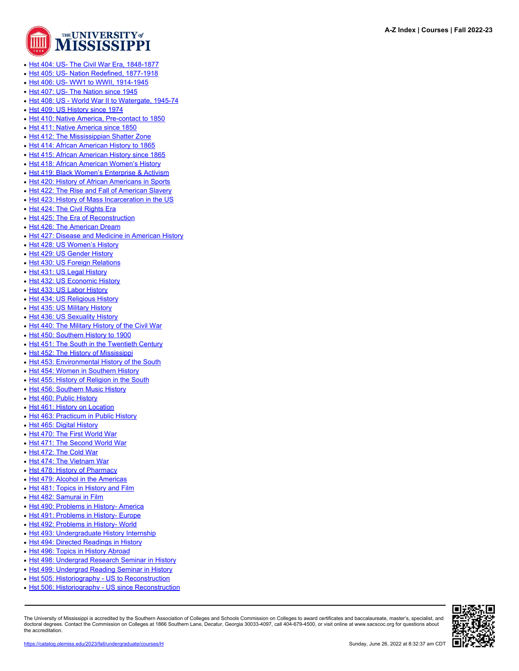

- [Hst 404: US- The Civil War Era, 1848-1877](https://catalog.olemiss.edu/liberal-arts/history/hst-404)
- Bolds [Hst 405: US- Nation Redefined, 1877-1918](https://catalog.olemiss.edu/liberal-arts/history/hst-405)
- [Hst 406: US- WW1 to WWII, 1914-1945](https://catalog.olemiss.edu/liberal-arts/history/hst-406)
- [Hst 407: US- The Nation since 1945](https://catalog.olemiss.edu/liberal-arts/history/hst-407)
- [Hst 408: US World War II to Watergate, 1945-74](https://catalog.olemiss.edu/liberal-arts/history/hst-408)
- [Hst 409: US History since 1974](https://catalog.olemiss.edu/liberal-arts/history/hst-409)
- [Hst 410: Native America, Pre-contact to 1850](https://catalog.olemiss.edu/liberal-arts/history/hst-410)
- [Hst 411: Native America since 1850](https://catalog.olemiss.edu/liberal-arts/history/hst-411)
- [Hst 412: The Mississippian Shatter Zone](https://catalog.olemiss.edu/liberal-arts/history/hst-412)
- [Hst 414: African American History to 1865](https://catalog.olemiss.edu/liberal-arts/history/hst-414)
- [Hst 415: African American History since 1865](https://catalog.olemiss.edu/liberal-arts/history/hst-415)
- [Hst 418: African American Women's History](https://catalog.olemiss.edu/liberal-arts/history/hst-418)
- [Hst 419: Black Women's Enterprise & Activism](https://catalog.olemiss.edu/liberal-arts/history/hst-419)
- [Hst 420: History of African Americans in Sports](https://catalog.olemiss.edu/liberal-arts/history/hst-420)
- [Hst 422: The Rise and Fall of American Slavery](https://catalog.olemiss.edu/liberal-arts/history/hst-422)
- [Hst 423: History of Mass Incarceration in the US](https://catalog.olemiss.edu/liberal-arts/history/hst-423)
- [Hst 424: The Civil Rights Era](https://catalog.olemiss.edu/liberal-arts/history/hst-424)
- [Hst 425: The Era of Reconstruction](https://catalog.olemiss.edu/liberal-arts/history/hst-425)
- [Hst 426: The American Dream](https://catalog.olemiss.edu/liberal-arts/history/hst-426)
- [Hst 427: Disease and Medicine in American History](https://catalog.olemiss.edu/liberal-arts/history/hst-427)
- [Hst 428: US Women's History](https://catalog.olemiss.edu/liberal-arts/history/hst-428)
- [Hst 429: US Gender History](https://catalog.olemiss.edu/liberal-arts/history/hst-429)
- [Hst 430: US Foreign Relations](https://catalog.olemiss.edu/liberal-arts/history/hst-430)
- [Hst 431: US Legal History](https://catalog.olemiss.edu/liberal-arts/history/hst-431)
- [Hst 432: US Economic History](https://catalog.olemiss.edu/liberal-arts/history/hst-432)
- [Hst 433: US Labor History](https://catalog.olemiss.edu/liberal-arts/history/hst-433)
- [Hst 434: US Religious History](https://catalog.olemiss.edu/liberal-arts/history/hst-434)
- [Hst 435: US Military History](https://catalog.olemiss.edu/liberal-arts/history/hst-435)
- [Hst 436: US Sexuality History](https://catalog.olemiss.edu/liberal-arts/history/hst-436)
- [Hst 440: The Military History of the Civil War](https://catalog.olemiss.edu/liberal-arts/history/hst-440)
- [Hst 450: Southern History to 1900](https://catalog.olemiss.edu/liberal-arts/history/hst-450)
- [Hst 451: The South in the Twentieth Century](https://catalog.olemiss.edu/liberal-arts/history/hst-451)
- [Hst 452: The History of Mississippi](https://catalog.olemiss.edu/liberal-arts/history/hst-452)
- [Hst 453: Environmental History of the South](https://catalog.olemiss.edu/liberal-arts/history/hst-453)
- [Hst 454: Women in Southern History](https://catalog.olemiss.edu/liberal-arts/history/hst-454)
- [Hst 455: History of Religion in the South](https://catalog.olemiss.edu/liberal-arts/history/hst-455)
- [Hst 456: Southern Music History](https://catalog.olemiss.edu/liberal-arts/history/hst-456)
- [Hst 460: Public History](https://catalog.olemiss.edu/liberal-arts/history/hst-460)
- [Hst 461: History on Location](https://catalog.olemiss.edu/liberal-arts/history/hst-461)
- [Hst 463: Practicum in Public History](https://catalog.olemiss.edu/liberal-arts/history/hst-463)
- [Hst 465: Digital History](https://catalog.olemiss.edu/liberal-arts/history/hst-465)
- [Hst 470: The First World War](https://catalog.olemiss.edu/liberal-arts/history/hst-470)
- [Hst 471: The Second World War](https://catalog.olemiss.edu/liberal-arts/history/hst-471)
- [Hst 472: The Cold War](https://catalog.olemiss.edu/liberal-arts/history/hst-472)
- [Hst 474: The Vietnam War](https://catalog.olemiss.edu/liberal-arts/history/hst-474)
- [Hst 478: History of Pharmacy](https://catalog.olemiss.edu/liberal-arts/history/hst-478)
- [Hst 479: Alcohol in the Americas](https://catalog.olemiss.edu/liberal-arts/history/hst-479)
- [Hst 481: Topics in History and Film](https://catalog.olemiss.edu/liberal-arts/history/hst-481)
- [Hst 482: Samurai in Film](https://catalog.olemiss.edu/liberal-arts/history/hst-482)
- [Hst 490: Problems in History- America](https://catalog.olemiss.edu/liberal-arts/history/hst-490)
- [Hst 491: Problems in History- Europe](https://catalog.olemiss.edu/liberal-arts/history/hst-491)
- [Hst 492: Problems in History- World](https://catalog.olemiss.edu/liberal-arts/history/hst-492)
- [Hst 493: Undergraduate History Internship](https://catalog.olemiss.edu/liberal-arts/history/hst-493)
- [Hst 494: Directed Readings in History](https://catalog.olemiss.edu/liberal-arts/history/hst-494)
- [Hst 496: Topics in History Abroad](https://catalog.olemiss.edu/liberal-arts/history/hst-496)
- [Hst 498: Undergrad Research Seminar in History](https://catalog.olemiss.edu/liberal-arts/history/hst-498)
- [Hst 499: Undergrad Reading Seminar in History](https://catalog.olemiss.edu/liberal-arts/history/hst-499)
- [Hst 505: Historiography US to Reconstruction](https://catalog.olemiss.edu/liberal-arts/history/hst-505)
- [Hst 506: Historiography US since Reconstruction](https://catalog.olemiss.edu/liberal-arts/history/hst-506)

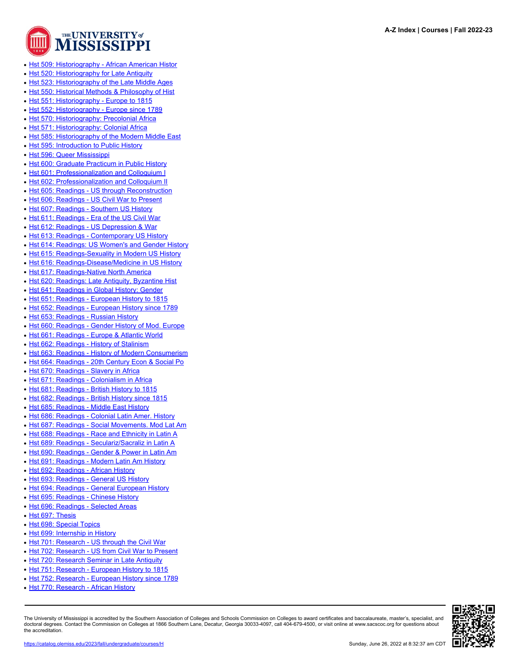

- [Hst 509: Historiography African American Histor](https://catalog.olemiss.edu/liberal-arts/history/hst-509)
- [Hst 520: Historiography for Late Antiquity](https://catalog.olemiss.edu/liberal-arts/history/hst-520)
- [Hst 523: Historiography of the Late Middle Ages](https://catalog.olemiss.edu/liberal-arts/history/hst-523)
- [Hst 550: Historical Methods & Philosophy of Hist](https://catalog.olemiss.edu/liberal-arts/history/hst-550)
- [Hst 551: Historiography Europe to 1815](https://catalog.olemiss.edu/liberal-arts/history/hst-551)
- [Hst 552: Historiography Europe since 1789](https://catalog.olemiss.edu/liberal-arts/history/hst-552)
- [Hst 570: Historiography: Precolonial Africa](https://catalog.olemiss.edu/liberal-arts/history/hst-570)
- [Hst 571: Historiography: Colonial Africa](https://catalog.olemiss.edu/liberal-arts/history/hst-571)
- [Hst 585: Historiography of the Modern Middle East](https://catalog.olemiss.edu/liberal-arts/history/hst-585)
- [Hst 595: Introduction to Public History](https://catalog.olemiss.edu/liberal-arts/history/hst-595)
- [Hst 596: Queer Mississippi](https://catalog.olemiss.edu/liberal-arts/history/hst-596)
- [Hst 600: Graduate Practicum in Public History](https://catalog.olemiss.edu/liberal-arts/history/hst-600)
- [Hst 601: Professionalization and Colloquium I](https://catalog.olemiss.edu/liberal-arts/history/hst-601)
- [Hst 602: Professionalization and Colloquium II](https://catalog.olemiss.edu/liberal-arts/history/hst-602)
- [Hst 605: Readings US through Reconstruction](https://catalog.olemiss.edu/liberal-arts/history/hst-605)
- [Hst 606: Readings US Civil War to Present](https://catalog.olemiss.edu/liberal-arts/history/hst-606)
- [Hst 607: Readings Southern US History](https://catalog.olemiss.edu/liberal-arts/history/hst-607)
- [Hst 611: Readings Era of the US Civil War](https://catalog.olemiss.edu/liberal-arts/history/hst-611)
- [Hst 612: Readings US Depression & War](https://catalog.olemiss.edu/liberal-arts/history/hst-612)
- [Hst 613: Readings Contemporary US History](https://catalog.olemiss.edu/liberal-arts/history/hst-613)
- [Hst 614: Readings: US Women's and Gender History](https://catalog.olemiss.edu/liberal-arts/history/hst-614)
- [Hst 615: Readings-Sexuality in Modern US History](https://catalog.olemiss.edu/liberal-arts/history/hst-615)
- [Hst 616: Readings-Disease/Medicine in US History](https://catalog.olemiss.edu/liberal-arts/history/hst-616)
- [Hst 617: Readings-Native North America](https://catalog.olemiss.edu/liberal-arts/history/hst-617)
- [Hst 620: Readings: Late Antiquity, Byzantine Hist](https://catalog.olemiss.edu/liberal-arts/history/hst-620)
- [Hst 641: Readings in Global History: Gender](https://catalog.olemiss.edu/liberal-arts/history/hst-641)
- [Hst 651: Readings European History to 1815](https://catalog.olemiss.edu/liberal-arts/history/hst-651)
- [Hst 652: Readings European History since 1789](https://catalog.olemiss.edu/liberal-arts/history/hst-652)
- [Hst 653: Readings Russian History](https://catalog.olemiss.edu/liberal-arts/history/hst-653)
- [Hst 660: Readings Gender History of Mod. Europe](https://catalog.olemiss.edu/liberal-arts/history/hst-660)
- [Hst 661: Readings Europe & Atlantic World](https://catalog.olemiss.edu/liberal-arts/history/hst-661)
- [Hst 662: Readings History of Stalinism](https://catalog.olemiss.edu/liberal-arts/history/hst-662)
- [Hst 663: Readings History of Modern Consumerism](https://catalog.olemiss.edu/liberal-arts/history/hst-663)
- [Hst 664: Readings 20th Century Econ & Social Po](https://catalog.olemiss.edu/liberal-arts/history/hst-664)
- [Hst 670: Readings Slavery in Africa](https://catalog.olemiss.edu/liberal-arts/history/hst-670)
- [Hst 671: Readings Colonialism in Africa](https://catalog.olemiss.edu/liberal-arts/history/hst-671)
- [Hst 681: Readings British History to 1815](https://catalog.olemiss.edu/liberal-arts/history/hst-681)
- [Hst 682: Readings British History since 1815](https://catalog.olemiss.edu/liberal-arts/history/hst-682)
- [Hst 685: Readings Middle East History](https://catalog.olemiss.edu/liberal-arts/history/hst-685)
- [Hst 686: Readings Colonial Latin Amer. History](https://catalog.olemiss.edu/liberal-arts/history/hst-686)
- [Hst 687: Readings Social Movements. Mod Lat Am](https://catalog.olemiss.edu/liberal-arts/history/hst-687)
- [Hst 688: Readings Race and Ethnicity in Latin A](https://catalog.olemiss.edu/liberal-arts/history/hst-688)
- [Hst 689: Readings Seculariz/Sacraliz in Latin A](https://catalog.olemiss.edu/liberal-arts/history/hst-689)
- [Hst 690: Readings Gender & Power in Latin Am](https://catalog.olemiss.edu/liberal-arts/history/hst-690)
- [Hst 691: Readings Modern Latin Am History](https://catalog.olemiss.edu/liberal-arts/history/hst-691)
- [Hst 692: Readings African History](https://catalog.olemiss.edu/liberal-arts/history/hst-692)
- [Hst 693: Readings General US History](https://catalog.olemiss.edu/liberal-arts/history/hst-693)
- [Hst 694: Readings General European History](https://catalog.olemiss.edu/liberal-arts/history/hst-694)
- [Hst 695: Readings Chinese History](https://catalog.olemiss.edu/liberal-arts/history/hst-695)
- [Hst 696: Readings Selected Areas](https://catalog.olemiss.edu/liberal-arts/history/hst-696)
- [Hst 697: Thesis](https://catalog.olemiss.edu/liberal-arts/history/hst-697)
- [Hst 698: Special Topics](https://catalog.olemiss.edu/liberal-arts/history/hst-698)
- [Hst 699: Internship in History](https://catalog.olemiss.edu/liberal-arts/history/hst-699)
- [Hst 701: Research US through the Civil War](https://catalog.olemiss.edu/liberal-arts/history/hst-701)
- [Hst 702: Research US from Civil War to Present](https://catalog.olemiss.edu/liberal-arts/history/hst-702)
- [Hst 720: Research Seminar in Late Antiquity](https://catalog.olemiss.edu/liberal-arts/history/hst-720)
- [Hst 751: Research European History to 1815](https://catalog.olemiss.edu/liberal-arts/history/hst-751)
- [Hst 752: Research European History since 1789](https://catalog.olemiss.edu/liberal-arts/history/hst-752)
- [Hst 770: Research African History](https://catalog.olemiss.edu/liberal-arts/history/hst-770)

The University of Mississippi is accredited by the Southern Association of Colleges and Schools Commission on Colleges to award certificates and baccalaureate, master's, specialist, and doctoral degrees. Contact the Commission on Colleges at 1866 Southern Lane, Decatur, Georgia 30033-4097, call 404-679-4500, or visit online at www.sacscoc.org for questions about the accreditation.